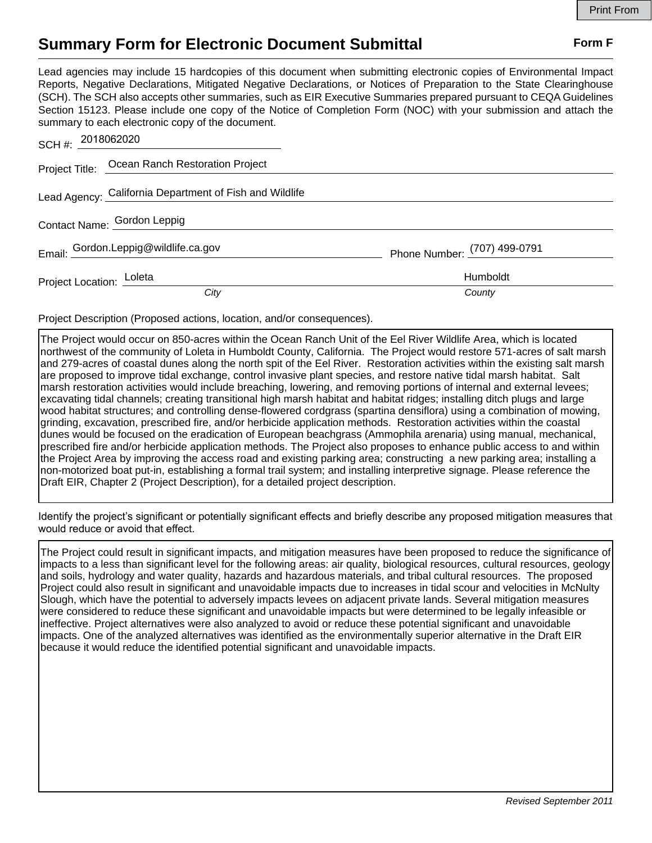## **Summary Form for Electronic Document Submittal Form F Form F**

Lead agencies may include 15 hardcopies of this document when submitting electronic copies of Environmental Impact Reports, Negative Declarations, Mitigated Negative Declarations, or Notices of Preparation to the State Clearinghouse (SCH). The SCH also accepts other summaries, such as EIR Executive Summaries prepared pursuant to CEQA Guidelines Section 15123. Please include one copy of the Notice of Completion Form (NOC) with your submission and attach the summary to each electronic copy of the document.

| SCH #: 2018062020           |                                                         |                              |
|-----------------------------|---------------------------------------------------------|------------------------------|
|                             | Project Title: Ocean Ranch Restoration Project          |                              |
|                             | Lead Agency: California Department of Fish and Wildlife |                              |
| Contact Name: Gordon Leppig |                                                         |                              |
|                             | Email: Gordon.Leppig@wildlife.ca.gov                    | Phone Number: (707) 499-0791 |
| Project Location: Loleta    |                                                         | Humboldt                     |
|                             | City                                                    | County                       |

Project Description (Proposed actions, location, and/or consequences).

The Project would occur on 850-acres within the Ocean Ranch Unit of the Eel River Wildlife Area, which is located northwest of the community of Loleta in Humboldt County, California. The Project would restore 571-acres of salt marsh and 279-acres of coastal dunes along the north spit of the Eel River. Restoration activities within the existing salt marsh are proposed to improve tidal exchange, control invasive plant species, and restore native tidal marsh habitat. Salt marsh restoration activities would include breaching, lowering, and removing portions of internal and external levees; excavating tidal channels; creating transitional high marsh habitat and habitat ridges; installing ditch plugs and large wood habitat structures; and controlling dense-flowered cordgrass (spartina densiflora) using a combination of mowing, grinding, excavation, prescribed fire, and/or herbicide application methods. Restoration activities within the coastal dunes would be focused on the eradication of European beachgrass (Ammophila arenaria) using manual, mechanical, prescribed fire and/or herbicide application methods. The Project also proposes to enhance public access to and within the Project Area by improving the access road and existing parking area; constructing a new parking area; installing a non-motorized boat put-in, establishing a formal trail system; and installing interpretive signage. Please reference the Draft EIR, Chapter 2 (Project Description), for a detailed project description.

Identify the project's significant or potentially significant effects and briefly describe any proposed mitigation measures that would reduce or avoid that effect.

The Project could result in significant impacts, and mitigation measures have been proposed to reduce the significance of impacts to a less than significant level for the following areas: air quality, biological resources, cultural resources, geology and soils, hydrology and water quality, hazards and hazardous materials, and tribal cultural resources. The proposed Project could also result in significant and unavoidable impacts due to increases in tidal scour and velocities in McNulty Slough, which have the potential to adversely impacts levees on adjacent private lands. Several mitigation measures were considered to reduce these significant and unavoidable impacts but were determined to be legally infeasible or ineffective. Project alternatives were also analyzed to avoid or reduce these potential significant and unavoidable impacts. One of the analyzed alternatives was identified as the environmentally superior alternative in the Draft EIR because it would reduce the identified potential significant and unavoidable impacts.